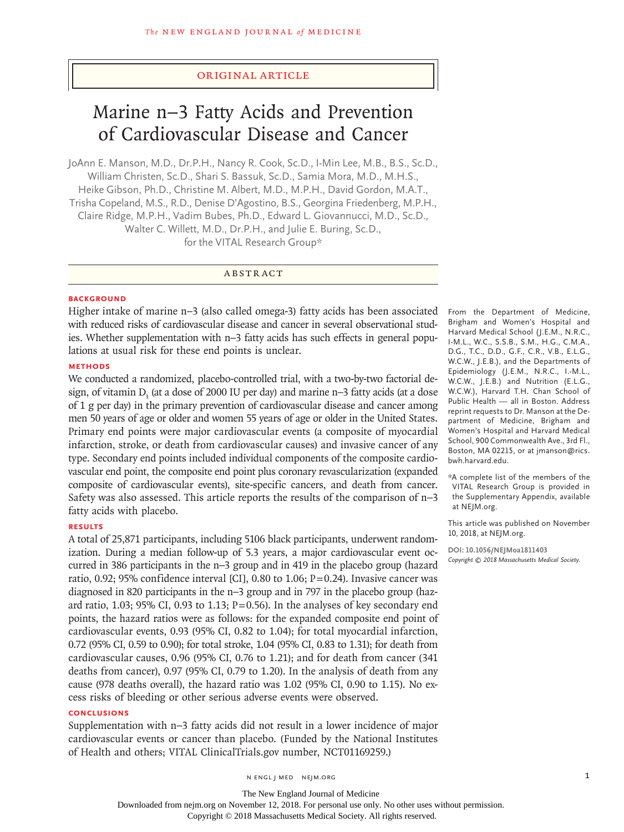## Original Article

# Marine n−3 Fatty Acids and Prevention of Cardiovascular Disease and Cancer

JoAnn E. Manson, M.D., Dr.P.H., Nancy R. Cook, Sc.D., I-Min Lee, M.B., B.S., Sc.D., William Christen, Sc.D., Shari S. Bassuk, Sc.D., Samia Mora, M.D., M.H.S., Heike Gibson, Ph.D., Christine M. Albert, M.D., M.P.H., David Gordon, M.A.T., Trisha Copeland, M.S., R.D., Denise D'Agostino, B.S., Georgina Friedenberg, M.P.H., Claire Ridge, M.P.H., Vadim Bubes, Ph.D., Edward L. Giovannucci, M.D., Sc.D., Walter C. Willett, M.D., Dr.P.H., and Julie E. Buring, Sc.D., for the VITAL Research Group\*

## ABSTRACT

## **BACKGROUND**

Higher intake of marine n−3 (also called omega-3) fatty acids has been associated with reduced risks of cardiovascular disease and cancer in several observational studies. Whether supplementation with n−3 fatty acids has such effects in general populations at usual risk for these end points is unclear.

#### **METHODS**

We conducted a randomized, placebo-controlled trial, with a two-by-two factorial design, of vitamin D<sub>3</sub> (at a dose of 2000 IU per day) and marine n−3 fatty acids (at a dose of 1 g per day) in the primary prevention of cardiovascular disease and cancer among men 50 years of age or older and women 55 years of age or older in the United States. Primary end points were major cardiovascular events (a composite of myocardial infarction, stroke, or death from cardiovascular causes) and invasive cancer of any type. Secondary end points included individual components of the composite cardiovascular end point, the composite end point plus coronary revascularization (expanded composite of cardiovascular events), site-specific cancers, and death from cancer. Safety was also assessed. This article reports the results of the comparison of n−3 fatty acids with placebo.

### **RESULTS**

A total of 25,871 participants, including 5106 black participants, underwent randomization. During a median follow-up of 5.3 years, a major cardiovascular event occurred in 386 participants in the n−3 group and in 419 in the placebo group (hazard ratio, 0.92; 95% confidence interval [CI], 0.80 to 1.06;  $P=0.24$ ). Invasive cancer was diagnosed in 820 participants in the n−3 group and in 797 in the placebo group (hazard ratio, 1.03; 95% CI, 0.93 to 1.13;  $P=0.56$ ). In the analyses of key secondary end points, the hazard ratios were as follows: for the expanded composite end point of cardiovascular events, 0.93 (95% CI, 0.82 to 1.04); for total myocardial infarction, 0.72 (95% CI, 0.59 to 0.90); for total stroke, 1.04 (95% CI, 0.83 to 1.31); for death from cardiovascular causes, 0.96 (95% CI, 0.76 to 1.21); and for death from cancer (341 deaths from cancer), 0.97 (95% CI, 0.79 to 1.20). In the analysis of death from any cause (978 deaths overall), the hazard ratio was 1.02 (95% CI, 0.90 to 1.15). No excess risks of bleeding or other serious adverse events were observed.

#### **CONCLUSIONS**

Supplementation with n−3 fatty acids did not result in a lower incidence of major cardiovascular events or cancer than placebo. (Funded by the National Institutes of Health and others; VITAL ClinicalTrials.gov number, NCT01169259.)

From the Department of Medicine, Brigham and Women's Hospital and Harvard Medical School (J.E.M., N.R.C., I-M.L., W.C., S.S.B., S.M., H.G., C.M.A., D.G., T.C., D.D., G.F., C.R., V.B., E.L.G., W.C.W., J.E.B.), and the Departments of Epidemiology (J.E.M., N.R.C., I.-M.L., W.C.W., J.E.B.) and Nutrition (E.L.G., W.C.W.), Harvard T.H. Chan School of Public Health — all in Boston. Address reprint requests to Dr. Manson at the Department of Medicine, Brigham and Women's Hospital and Harvard Medical School, 900 Commonwealth Ave., 3rd Fl., Boston, MA 02215, or at jmanson@rics. bwh.harvard.edu.

\*A complete list of the members of the VITAL Research Group is provided in the Supplementary Appendix, available at NEJM.org.

This article was published on November 10, 2018, at NEJM.org.

**DOI: 10.1056/NEJMoa1811403** *Copyright © 2018 Massachusetts Medical Society.*

The New England Journal of Medicine Downloaded from nejm.org on November 12, 2018. For personal use only. No other uses without permission.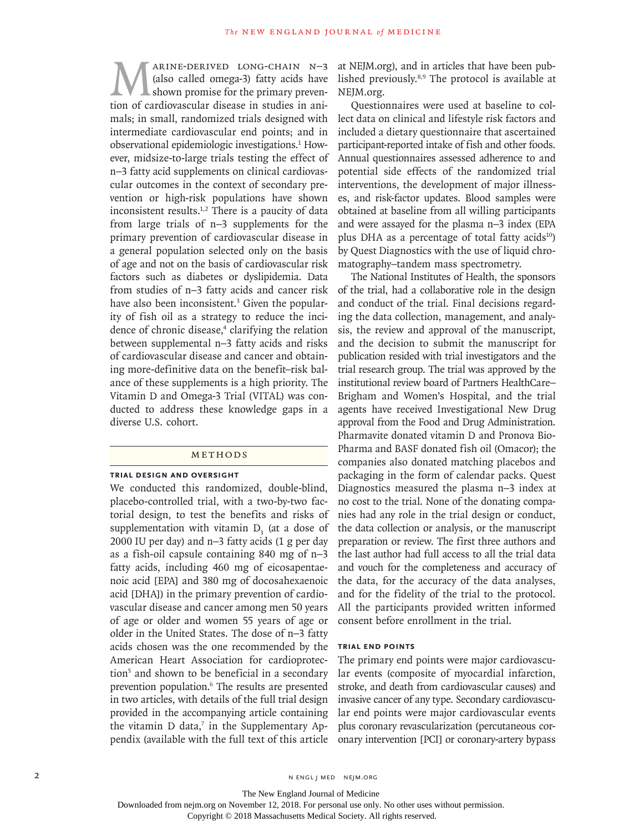MARINE-DERIVED LONG-CHAIN N−3<br>(also called omega-3) fatty acids have<br>shown promise for the primary preven-<br>tion of cardiovascular disease in studies in ani-(also called omega-3) fatty acids have shown promise for the primary prevention of cardiovascular disease in studies in animals; in small, randomized trials designed with intermediate cardiovascular end points; and in observational epidemiologic investigations.<sup>1</sup> However, midsize-to-large trials testing the effect of n−3 fatty acid supplements on clinical cardiovascular outcomes in the context of secondary prevention or high-risk populations have shown inconsistent results. $1,2$  There is a paucity of data from large trials of n−3 supplements for the primary prevention of cardiovascular disease in a general population selected only on the basis of age and not on the basis of cardiovascular risk factors such as diabetes or dyslipidemia. Data from studies of n−3 fatty acids and cancer risk have also been inconsistent.<sup>3</sup> Given the popularity of fish oil as a strategy to reduce the incidence of chronic disease,<sup>4</sup> clarifying the relation between supplemental n−3 fatty acids and risks of cardiovascular disease and cancer and obtaining more-definitive data on the benefit–risk balance of these supplements is a high priority. The Vitamin D and Omega-3 Trial (VITAL) was conducted to address these knowledge gaps in a diverse U.S. cohort.

#### Methods

#### **Trial Design and Oversight**

We conducted this randomized, double-blind, placebo-controlled trial, with a two-by-two factorial design, to test the benefits and risks of supplementation with vitamin  $D_3$  (at a dose of 2000 IU per day) and n−3 fatty acids (1 g per day as a fish-oil capsule containing 840 mg of n−3 fatty acids, including 460 mg of eicosapentaenoic acid [EPA] and 380 mg of docosahexaenoic acid [DHA]) in the primary prevention of cardiovascular disease and cancer among men 50 years of age or older and women 55 years of age or older in the United States. The dose of n−3 fatty acids chosen was the one recommended by the American Heart Association for cardioprotection<sup>5</sup> and shown to be beneficial in a secondary prevention population.<sup>6</sup> The results are presented in two articles, with details of the full trial design provided in the accompanying article containing the vitamin  $D$  data,<sup>7</sup> in the Supplementary Appendix (available with the full text of this article

at NEJM.org), and in articles that have been published previously.8,9 The protocol is available at NEJM.org.

Questionnaires were used at baseline to collect data on clinical and lifestyle risk factors and included a dietary questionnaire that ascertained participant-reported intake of fish and other foods. Annual questionnaires assessed adherence to and potential side effects of the randomized trial interventions, the development of major illnesses, and risk-factor updates. Blood samples were obtained at baseline from all willing participants and were assayed for the plasma n−3 index (EPA plus DHA as a percentage of total fatty acids $10$ ) by Quest Diagnostics with the use of liquid chromatography–tandem mass spectrometry.

The National Institutes of Health, the sponsors of the trial, had a collaborative role in the design and conduct of the trial. Final decisions regarding the data collection, management, and analysis, the review and approval of the manuscript, and the decision to submit the manuscript for publication resided with trial investigators and the trial research group. The trial was approved by the institutional review board of Partners HealthCare– Brigham and Women's Hospital, and the trial agents have received Investigational New Drug approval from the Food and Drug Administration. Pharmavite donated vitamin D and Pronova Bio-Pharma and BASF donated fish oil (Omacor); the companies also donated matching placebos and packaging in the form of calendar packs. Quest Diagnostics measured the plasma n−3 index at no cost to the trial. None of the donating companies had any role in the trial design or conduct, the data collection or analysis, or the manuscript preparation or review. The first three authors and the last author had full access to all the trial data and vouch for the completeness and accuracy of the data, for the accuracy of the data analyses, and for the fidelity of the trial to the protocol. All the participants provided written informed consent before enrollment in the trial.

#### **Trial End Points**

The primary end points were major cardiovascular events (composite of myocardial infarction, stroke, and death from cardiovascular causes) and invasive cancer of any type. Secondary cardiovascular end points were major cardiovascular events plus coronary revascularization (percutaneous coronary intervention [PCI] or coronary-artery bypass

Downloaded from nejm.org on November 12, 2018. For personal use only. No other uses without permission.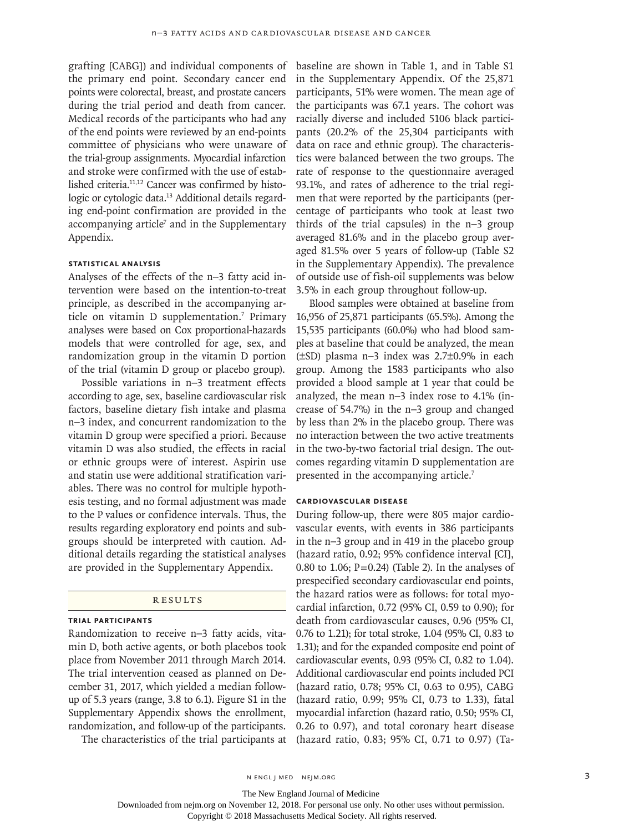grafting [CABG]) and individual components of the primary end point. Secondary cancer end points were colorectal, breast, and prostate cancers during the trial period and death from cancer. Medical records of the participants who had any of the end points were reviewed by an end-points committee of physicians who were unaware of the trial-group assignments. Myocardial infarction and stroke were confirmed with the use of established criteria.11,12 Cancer was confirmed by histologic or cytologic data.<sup>13</sup> Additional details regarding end-point confirmation are provided in the accompanying article $7$  and in the Supplementary Appendix.

## **Statistical Analysis**

Analyses of the effects of the n−3 fatty acid intervention were based on the intention-to-treat principle, as described in the accompanying article on vitamin D supplementation.<sup>7</sup> Primary analyses were based on Cox proportional-hazards models that were controlled for age, sex, and randomization group in the vitamin D portion of the trial (vitamin D group or placebo group).

Possible variations in n−3 treatment effects according to age, sex, baseline cardiovascular risk factors, baseline dietary fish intake and plasma n−3 index, and concurrent randomization to the vitamin D group were specified a priori. Because vitamin D was also studied, the effects in racial or ethnic groups were of interest. Aspirin use and statin use were additional stratification variables. There was no control for multiple hypothesis testing, and no formal adjustment was made to the P values or confidence intervals. Thus, the results regarding exploratory end points and subgroups should be interpreted with caution. Additional details regarding the statistical analyses are provided in the Supplementary Appendix.

#### Results

## **Trial Participants**

Randomization to receive n−3 fatty acids, vitamin D, both active agents, or both placebos took place from November 2011 through March 2014. The trial intervention ceased as planned on December 31, 2017, which yielded a median followup of 5.3 years (range, 3.8 to 6.1). Figure S1 in the Supplementary Appendix shows the enrollment, randomization, and follow-up of the participants.

The characteristics of the trial participants at

baseline are shown in Table 1, and in Table S1 in the Supplementary Appendix. Of the 25,871 participants, 51% were women. The mean age of the participants was 67.1 years. The cohort was racially diverse and included 5106 black participants (20.2% of the 25,304 participants with data on race and ethnic group). The characteristics were balanced between the two groups. The rate of response to the questionnaire averaged 93.1%, and rates of adherence to the trial regimen that were reported by the participants (percentage of participants who took at least two thirds of the trial capsules) in the n−3 group averaged 81.6% and in the placebo group averaged 81.5% over 5 years of follow-up (Table S2 in the Supplementary Appendix). The prevalence of outside use of fish-oil supplements was below 3.5% in each group throughout follow-up.

Blood samples were obtained at baseline from 16,956 of 25,871 participants (65.5%). Among the 15,535 participants (60.0%) who had blood samples at baseline that could be analyzed, the mean (±SD) plasma n−3 index was 2.7±0.9% in each group. Among the 1583 participants who also provided a blood sample at 1 year that could be analyzed, the mean n−3 index rose to 4.1% (increase of 54.7%) in the n−3 group and changed by less than 2% in the placebo group. There was no interaction between the two active treatments in the two-by-two factorial trial design. The outcomes regarding vitamin D supplementation are presented in the accompanying article.<sup>7</sup>

#### **Cardiovascular Disease**

During follow-up, there were 805 major cardiovascular events, with events in 386 participants in the n−3 group and in 419 in the placebo group (hazard ratio, 0.92; 95% confidence interval [CI], 0.80 to 1.06;  $P=0.24$ ) (Table 2). In the analyses of prespecified secondary cardiovascular end points, the hazard ratios were as follows: for total myocardial infarction, 0.72 (95% CI, 0.59 to 0.90); for death from cardiovascular causes, 0.96 (95% CI, 0.76 to 1.21); for total stroke, 1.04 (95% CI, 0.83 to 1.31); and for the expanded composite end point of cardiovascular events, 0.93 (95% CI, 0.82 to 1.04). Additional cardiovascular end points included PCI (hazard ratio, 0.78; 95% CI, 0.63 to 0.95), CABG (hazard ratio, 0.99; 95% CI, 0.73 to 1.33), fatal myocardial infarction (hazard ratio, 0.50; 95% CI, 0.26 to 0.97), and total coronary heart disease (hazard ratio, 0.83; 95% CI, 0.71 to 0.97) (Ta-

The New England Journal of Medicine

Downloaded from nejm.org on November 12, 2018. For personal use only. No other uses without permission.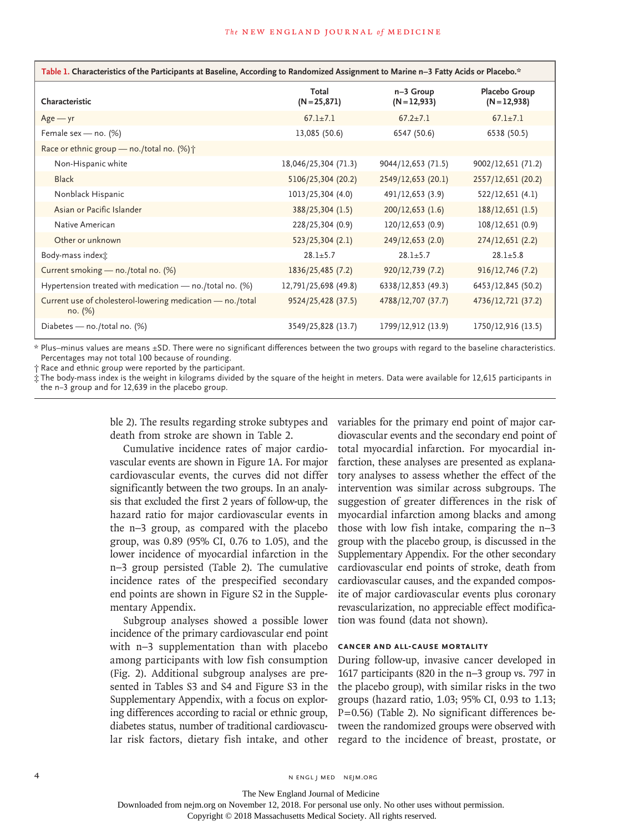| Table 1. Characteristics of the Participants at Baseline, According to Randomized Assignment to Marine n–3 Fatty Acids or Placebo.* |                          |                             |                                 |  |  |  |  |
|-------------------------------------------------------------------------------------------------------------------------------------|--------------------------|-----------------------------|---------------------------------|--|--|--|--|
| Characteristic                                                                                                                      | Total<br>$(N = 25, 871)$ | n-3 Group<br>$(N = 12,933)$ | Placebo Group<br>$(N = 12,938)$ |  |  |  |  |
| $Age - yr$                                                                                                                          | $67.1 \pm 7.1$           | $67.2 \pm 7.1$              | $67.1 \pm 7.1$                  |  |  |  |  |
| Female sex - no. (%)                                                                                                                | 13,085 (50.6)            | 6547 (50.6)                 | 6538 (50.5)                     |  |  |  |  |
| Race or ethnic group — no./total no. $(\%)\uparrow$                                                                                 |                          |                             |                                 |  |  |  |  |
| Non-Hispanic white                                                                                                                  | 18,046/25,304 (71.3)     | 9044/12,653 (71.5)          | 9002/12,651 (71.2)              |  |  |  |  |
| <b>Black</b>                                                                                                                        | 5106/25,304 (20.2)       | 2549/12,653 (20.1)          | 2557/12,651 (20.2)              |  |  |  |  |
| Nonblack Hispanic                                                                                                                   | 1013/25,304 (4.0)        | 491/12,653 (3.9)            | 522/12,651 (4.1)                |  |  |  |  |
| Asian or Pacific Islander                                                                                                           | 388/25,304 (1.5)         | 200/12,653(1.6)             | 188/12,651 (1.5)                |  |  |  |  |
| Native American                                                                                                                     | 228/25,304 (0.9)         | 120/12,653 (0.9)            | 108/12,651 (0.9)                |  |  |  |  |
| Other or unknown                                                                                                                    | 523/25,304 (2.1)         | 249/12,653 (2.0)            | 274/12,651 (2.2)                |  |  |  |  |
| Body-mass indext:                                                                                                                   | $28.1 + 5.7$             | $28.1 \pm 5.7$              | $28.1 \pm 5.8$                  |  |  |  |  |
| Current smoking - no./total no. (%)                                                                                                 | 1836/25,485 (7.2)        | 920/12,739 (7.2)            | 916/12,746(7.2)                 |  |  |  |  |
| Hypertension treated with medication - no./total no. (%)                                                                            | 12,791/25,698 (49.8)     | 6338/12,853 (49.3)          | 6453/12,845 (50.2)              |  |  |  |  |
| Current use of cholesterol-lowering medication - no./total<br>no. (%)                                                               | 9524/25,428 (37.5)       | 4788/12,707 (37.7)          | 4736/12,721 (37.2)              |  |  |  |  |
| Diabetes - no./total no. (%)                                                                                                        | 3549/25,828 (13.7)       | 1799/12,912 (13.9)          | 1750/12,916 (13.5)              |  |  |  |  |

\* Plus–minus values are means ±SD. There were no significant differences between the two groups with regard to the baseline characteristics. Percentages may not total 100 because of rounding.

† Race and ethnic group were reported by the participant.

‡ The body-mass index is the weight in kilograms divided by the square of the height in meters. Data were available for 12,615 participants in the n−3 group and for 12,639 in the placebo group.

> ble 2). The results regarding stroke subtypes and death from stroke are shown in Table 2.

> Cumulative incidence rates of major cardiovascular events are shown in Figure 1A. For major cardiovascular events, the curves did not differ significantly between the two groups. In an analysis that excluded the first 2 years of follow-up, the hazard ratio for major cardiovascular events in the n−3 group, as compared with the placebo group, was 0.89 (95% CI, 0.76 to 1.05), and the lower incidence of myocardial infarction in the n−3 group persisted (Table 2). The cumulative incidence rates of the prespecified secondary end points are shown in Figure S2 in the Supplementary Appendix.

> Subgroup analyses showed a possible lower incidence of the primary cardiovascular end point with n−3 supplementation than with placebo among participants with low fish consumption (Fig. 2). Additional subgroup analyses are presented in Tables S3 and S4 and Figure S3 in the Supplementary Appendix, with a focus on exploring differences according to racial or ethnic group, diabetes status, number of traditional cardiovascular risk factors, dietary fish intake, and other

variables for the primary end point of major cardiovascular events and the secondary end point of total myocardial infarction. For myocardial infarction, these analyses are presented as explanatory analyses to assess whether the effect of the intervention was similar across subgroups. The suggestion of greater differences in the risk of myocardial infarction among blacks and among those with low fish intake, comparing the n−3 group with the placebo group, is discussed in the Supplementary Appendix. For the other secondary cardiovascular end points of stroke, death from cardiovascular causes, and the expanded composite of major cardiovascular events plus coronary revascularization, no appreciable effect modification was found (data not shown).

## **Cancer and All-Cause Mortality**

During follow-up, invasive cancer developed in 1617 participants (820 in the n−3 group vs. 797 in the placebo group), with similar risks in the two groups (hazard ratio, 1.03; 95% CI, 0.93 to 1.13; P=0.56) (Table 2). No significant differences between the randomized groups were observed with regard to the incidence of breast, prostate, or

The New England Journal of Medicine Downloaded from nejm.org on November 12, 2018. For personal use only. No other uses without permission.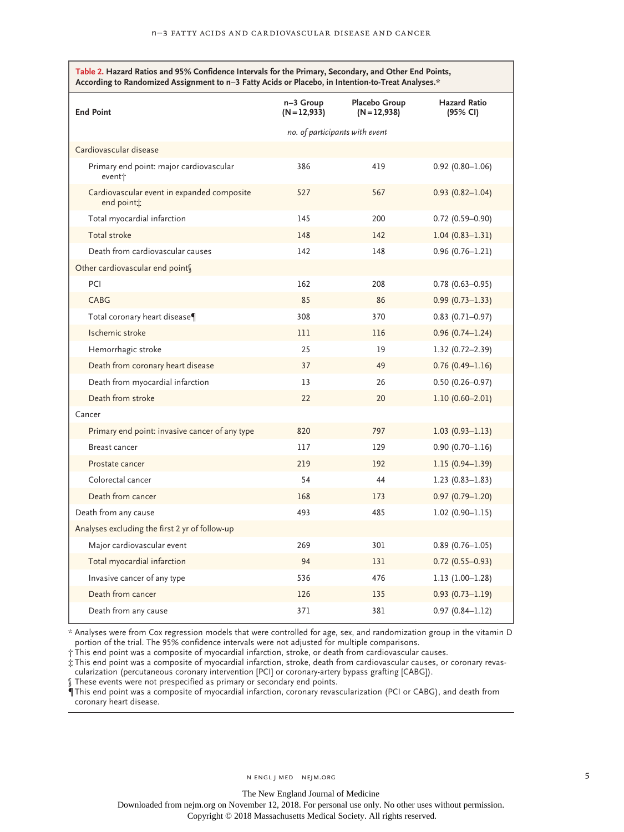| *.According to Randomized Assignment to n–3 Fatty Acids or Placebo, in Intention-to-Treat Analyses<br><b>End Point</b> | n-3 Group<br>$(N=12,933)$      | Placebo Group<br>$(N=12,938)$ | <b>Hazard Ratio</b><br>(95% CI) |
|------------------------------------------------------------------------------------------------------------------------|--------------------------------|-------------------------------|---------------------------------|
|                                                                                                                        | no. of participants with event |                               |                                 |
| Cardiovascular disease                                                                                                 |                                |                               |                                 |
| Primary end point: major cardiovascular<br>event†                                                                      | 386                            | 419                           | $0.92(0.80 - 1.06)$             |
| Cardiovascular event in expanded composite<br>end point <sub>*</sub>                                                   | 527                            | 567                           | $0.93(0.82 - 1.04)$             |
| Total myocardial infarction                                                                                            | 145                            | 200                           | $0.72(0.59 - 0.90)$             |
| Total stroke                                                                                                           | 148                            | 142                           | $1.04(0.83 - 1.31)$             |
| Death from cardiovascular causes                                                                                       | 142                            | 148                           | $0.96(0.76 - 1.21)$             |
| Other cardiovascular end points                                                                                        |                                |                               |                                 |
| PCI                                                                                                                    | 162                            | 208                           | $0.78(0.63 - 0.95)$             |
| CABG                                                                                                                   | 85                             | 86                            | $0.99(0.73 - 1.33)$             |
| Total coronary heart disease¶                                                                                          | 308                            | 370                           | $0.83$ (0.71-0.97)              |
| Ischemic stroke                                                                                                        | 111                            | 116                           | $0.96(0.74 - 1.24)$             |
| Hemorrhagic stroke                                                                                                     | 25                             | 19                            | $1.32(0.72 - 2.39)$             |
| Death from coronary heart disease                                                                                      | 37                             | 49                            | $0.76(0.49-1.16)$               |
| Death from myocardial infarction                                                                                       | 13                             | 26                            | $0.50(0.26 - 0.97)$             |
| Death from stroke                                                                                                      | 22                             | 20                            | $1.10(0.60 - 2.01)$             |
| Cancer                                                                                                                 |                                |                               |                                 |
| Primary end point: invasive cancer of any type                                                                         | 820                            | 797                           | $1.03(0.93 - 1.13)$             |
| Breast cancer                                                                                                          | 117                            | 129                           | $0.90(0.70 - 1.16)$             |
| Prostate cancer                                                                                                        | 219                            | 192                           | $1.15(0.94 - 1.39)$             |
| Colorectal cancer                                                                                                      | 54                             | 44                            | $1.23(0.83 - 1.83)$             |
| Death from cancer                                                                                                      | 168                            | 173                           | $0.97(0.79 - 1.20)$             |
| Death from any cause                                                                                                   | 493                            | 485                           | $1.02(0.90 - 1.15)$             |
| Analyses excluding the first 2 yr of follow-up                                                                         |                                |                               |                                 |
| Major cardiovascular event                                                                                             | 269                            | 301                           | $0.89(0.76 - 1.05)$             |
| Total myocardial infarction                                                                                            | 94                             | 131                           | $0.72(0.55 - 0.93)$             |
| Invasive cancer of any type                                                                                            | 536                            | 476                           | $1.13(1.00-1.28)$               |
| Death from cancer                                                                                                      | 126                            | 135                           | $0.93(0.73 - 1.19)$             |
| Death from any cause                                                                                                   | 371                            | 381                           | $0.97(0.84 - 1.12)$             |

\* Analyses were from Cox regression models that were controlled for age, sex, and randomization group in the vitamin D portion of the trial. The 95% confidence intervals were not adjusted for multiple comparisons.

† This end point was a composite of myocardial infarction, stroke, or death from cardiovascular causes.

‡ This end point was a composite of myocardial infarction, stroke, death from cardiovascular causes, or coronary revascularization (percutaneous coronary intervention [PCI] or coronary-artery bypass grafting [CABG]).

These events were not prespecified as primary or secondary end points.

¶ This end point was a composite of myocardial infarction, coronary revascularization (PCI or CABG), and death from coronary heart disease.

Downloaded from nejm.org on November 12, 2018. For personal use only. No other uses without permission.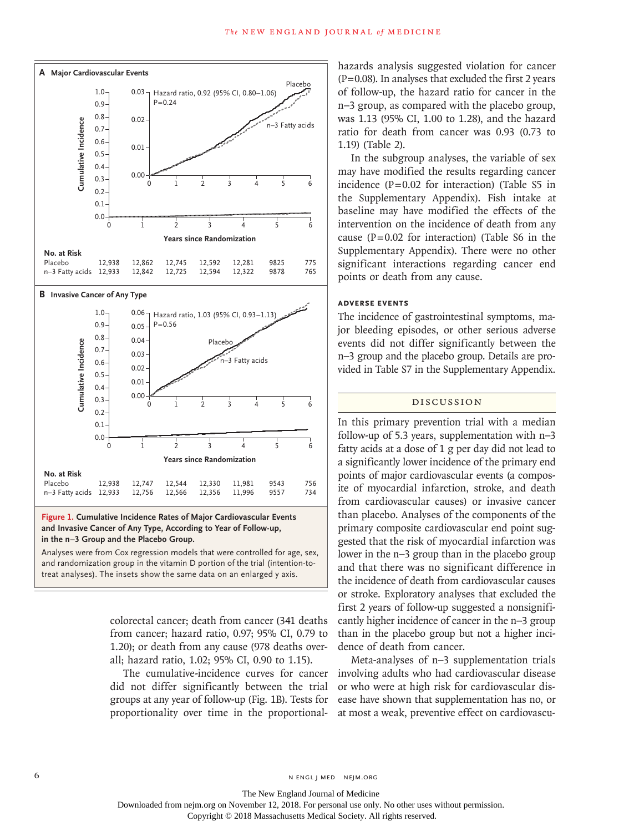

**Figure 1. Cumulative Incidence Rates of Major Cardiovascular Events and Invasive Cancer of Any Type, According to Year of Follow-up, in the n−3 Group and the Placebo Group.**

Analyses were from Cox regression models that were controlled for age, sex, and randomization group in the vitamin D portion of the trial (intention-to-

> colorectal cancer; death from cancer (341 deaths from cancer; hazard ratio, 0.97; 95% CI, 0.79 to 1.20); or death from any cause (978 deaths overall; hazard ratio, 1.02; 95% CI, 0.90 to 1.15).

> The cumulative-incidence curves for cancer did not differ significantly between the trial groups at any year of follow-up (Fig. 1B). Tests for proportionality over time in the proportional

hazards analysis suggested violation for cancer  $(P=0.08)$ . In analyses that excluded the first 2 years of follow-up, the hazard ratio for cancer in the n−3 group, as compared with the placebo group, was 1.13 (95% CI, 1.00 to 1.28), and the hazard ratio for death from cancer was 0.93 (0.73 to 1.19) (Table 2).

In the subgroup analyses, the variable of sex may have modified the results regarding cancer incidence  $(P=0.02$  for interaction) (Table S5 in the Supplementary Appendix). Fish intake at baseline may have modified the effects of the intervention on the incidence of death from any cause  $(P=0.02$  for interaction) (Table S6 in the Supplementary Appendix). There were no other significant interactions regarding cancer end points or death from any cause.

## **Adverse Events**

The incidence of gastrointestinal symptoms, major bleeding episodes, or other serious adverse events did not differ significantly between the n−3 group and the placebo group. Details are provided in Table S7 in the Supplementary Appendix.

#### Discussion

In this primary prevention trial with a median follow-up of 5.3 years, supplementation with n−3 fatty acids at a dose of 1 g per day did not lead to a significantly lower incidence of the primary end points of major cardiovascular events (a composite of myocardial infarction, stroke, and death from cardiovascular causes) or invasive cancer than placebo. Analyses of the components of the primary composite cardiovascular end point suggested that the risk of myocardial infarction was lower in the n−3 group than in the placebo group and that there was no significant difference in the incidence of death from cardiovascular causes or stroke. Exploratory analyses that excluded the first 2 years of follow-up suggested a nonsignificantly higher incidence of cancer in the n−3 group than in the placebo group but not a higher incidence of death from cancer.

Meta-analyses of n−3 supplementation trials involving adults who had cardiovascular disease or who were at high risk for cardiovascular disease have shown that supplementation has no, or at most a weak, preventive effect on cardiovascu-

The New England Journal of Medicine

Downloaded from nejm.org on November 12, 2018. For personal use only. No other uses without permission.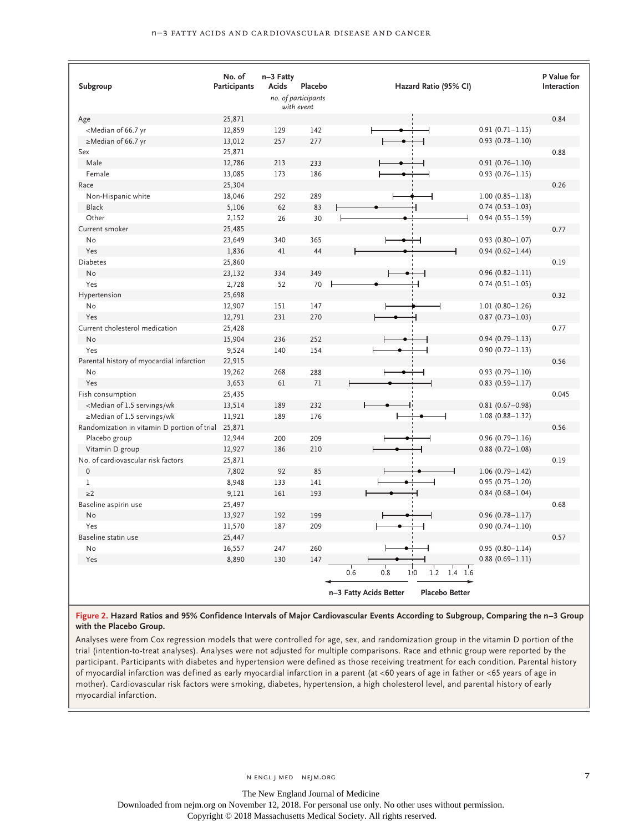| Subgroup                                                                                                                                       | No. of<br>Participants | n-3 Fatty<br>Acids | Placebo<br>no. of participants<br>with event | Hazard Ratio (95% CI)                                                                    | P Value for<br>Interaction |
|------------------------------------------------------------------------------------------------------------------------------------------------|------------------------|--------------------|----------------------------------------------|------------------------------------------------------------------------------------------|----------------------------|
| Age                                                                                                                                            | 25,871                 |                    |                                              |                                                                                          | 0.84                       |
| <median 66.7="" of="" td="" yr<=""><td>12,859</td><td>129</td><td>142</td><td><math>0.91(0.71 - 1.15)</math><br/>H</td><td></td></median>      | 12,859                 | 129                | 142                                          | $0.91(0.71 - 1.15)$<br>H                                                                 |                            |
| ≥Median of 66.7 yr                                                                                                                             | 13,012                 | 257                | 277                                          | $0.93(0.78 - 1.10)$                                                                      |                            |
| Sex                                                                                                                                            | 25,871                 |                    |                                              |                                                                                          | 0.88                       |
| Male                                                                                                                                           | 12,786                 | 213                | 233                                          | $0.91(0.76 - 1.10)$                                                                      |                            |
| Female                                                                                                                                         | 13,085                 | 173                | 186                                          | $0.93(0.76 - 1.15)$                                                                      |                            |
| Race                                                                                                                                           | 25,304                 |                    |                                              |                                                                                          | 0.26                       |
| Non-Hispanic white                                                                                                                             | 18,046                 | 292                | 289                                          | $1.00(0.85 - 1.18)$                                                                      |                            |
| Black                                                                                                                                          | 5,106                  | 62                 | 83                                           | $0.74(0.53 - 1.03)$                                                                      |                            |
| Other                                                                                                                                          | 2,152                  | 26                 | 30                                           | $0.94(0.55 - 1.59)$                                                                      |                            |
| Current smoker                                                                                                                                 | 25,485                 |                    |                                              |                                                                                          | 0.77                       |
| <b>No</b>                                                                                                                                      | 23,649                 | 340                | 365                                          | $0.93(0.80 - 1.07)$                                                                      |                            |
| Yes                                                                                                                                            | 1,836                  | 41                 | 44                                           | $0.94(0.62 - 1.44)$                                                                      |                            |
| <b>Diabetes</b>                                                                                                                                | 25,860                 |                    |                                              |                                                                                          | 0.19                       |
| <b>No</b>                                                                                                                                      | 23,132                 | 334                | 349                                          | $0.96(0.82 - 1.11)$                                                                      |                            |
| Yes                                                                                                                                            | 2,728                  | 52                 | 70                                           | $0.74(0.51 - 1.05)$                                                                      |                            |
| Hypertension                                                                                                                                   | 25,698                 |                    |                                              |                                                                                          | 0.32                       |
| No                                                                                                                                             | 12,907                 | 151                | 147                                          | $1.01(0.80 - 1.26)$                                                                      |                            |
| Yes                                                                                                                                            | 12,791                 | 231                | 270                                          | $0.87(0.73 - 1.03)$                                                                      |                            |
| Current cholesterol medication                                                                                                                 | 25,428                 |                    |                                              |                                                                                          | 0.77                       |
| <b>No</b>                                                                                                                                      | 15,904                 | 236                | 252                                          | $0.94(0.79 - 1.13)$                                                                      |                            |
| Yes                                                                                                                                            | 9,524                  | 140                | 154                                          | $0.90(0.72 - 1.13)$                                                                      |                            |
| Parental history of myocardial infarction                                                                                                      | 22,915                 |                    |                                              |                                                                                          | 0.56                       |
| No                                                                                                                                             | 19,262                 | 268                | 288                                          | $0.93(0.79 - 1.10)$                                                                      |                            |
| Yes                                                                                                                                            | 3,653                  | 61                 | 71                                           | $0.83$ (0.59-1.17)                                                                       |                            |
| Fish consumption                                                                                                                               | 25,435                 |                    |                                              |                                                                                          | 0.045                      |
| <median 1.5="" of="" servings="" td="" wk<=""><td>13,514</td><td>189</td><td>232</td><td><math>0.81(0.67 - 0.98)</math></td><td></td></median> | 13,514                 | 189                | 232                                          | $0.81(0.67 - 0.98)$                                                                      |                            |
| $\geq$ Median of 1.5 servings/wk                                                                                                               | 11,921                 | 189                | 176                                          | $1.08(0.88 - 1.32)$                                                                      |                            |
| Randomization in vitamin D portion of trial                                                                                                    | 25,871                 |                    |                                              |                                                                                          | 0.56                       |
| Placebo group                                                                                                                                  | 12,944                 | 200                | 209                                          | $0.96(0.79 - 1.16)$                                                                      |                            |
| Vitamin D group                                                                                                                                | 12,927                 | 186                | 210                                          | $0.88$ (0.72-1.08)                                                                       |                            |
| No. of cardiovascular risk factors                                                                                                             | 25,871                 |                    |                                              |                                                                                          | 0.19                       |
| $\mathbf 0$                                                                                                                                    | 7,802                  | 92                 | 85                                           | $1.06(0.79 - 1.42)$                                                                      |                            |
| $\,1$                                                                                                                                          | 8,948                  | 133                | 141                                          | $0.95(0.75 - 1.20)$                                                                      |                            |
| $\geq$ 2                                                                                                                                       | 9,121                  | 161                | 193                                          | $0.84(0.68 - 1.04)$                                                                      |                            |
| Baseline aspirin use                                                                                                                           | 25,497                 |                    |                                              |                                                                                          | 0.68                       |
| No                                                                                                                                             | 13,927                 | 192                | 199                                          | $0.96(0.78 - 1.17)$                                                                      |                            |
| Yes                                                                                                                                            | 11,570                 | 187                | 209                                          | $0.90(0.74 - 1.10)$                                                                      |                            |
| Baseline statin use                                                                                                                            | 25,447                 |                    |                                              |                                                                                          | 0.57                       |
| <b>No</b>                                                                                                                                      | 16,557                 | 247                | 260                                          | $0.95(0.80 - 1.14)$                                                                      |                            |
| Yes                                                                                                                                            | 8,890                  | 130                | 147                                          | $0.88(0.69 - 1.11)$<br>۲                                                                 |                            |
|                                                                                                                                                |                        |                    |                                              | 0.6<br>0.8<br>1:0<br>1.2<br>$1.4$ 1.6<br><b>Placebo Better</b><br>n-3 Fatty Acids Better |                            |

#### **Figure 2. Hazard Ratios and 95% Confidence Intervals of Major Cardiovascular Events According to Subgroup, Comparing the n−3 Group with the Placebo Group.**

Analyses were from Cox regression models that were controlled for age, sex, and randomization group in the vitamin D portion of the trial (intention-to-treat analyses). Analyses were not adjusted for multiple comparisons. Race and ethnic group were reported by the participant. Participants with diabetes and hypertension were defined as those receiving treatment for each condition. Parental history of myocardial infarction was defined as early myocardial infarction in a parent (at <60 years of age in father or <65 years of age in mother). Cardiovascular risk factors were smoking, diabetes, hypertension, a high cholesterol level, and parental history of early myocardial infarction.

The New England Journal of Medicine

Downloaded from nejm.org on November 12, 2018. For personal use only. No other uses without permission.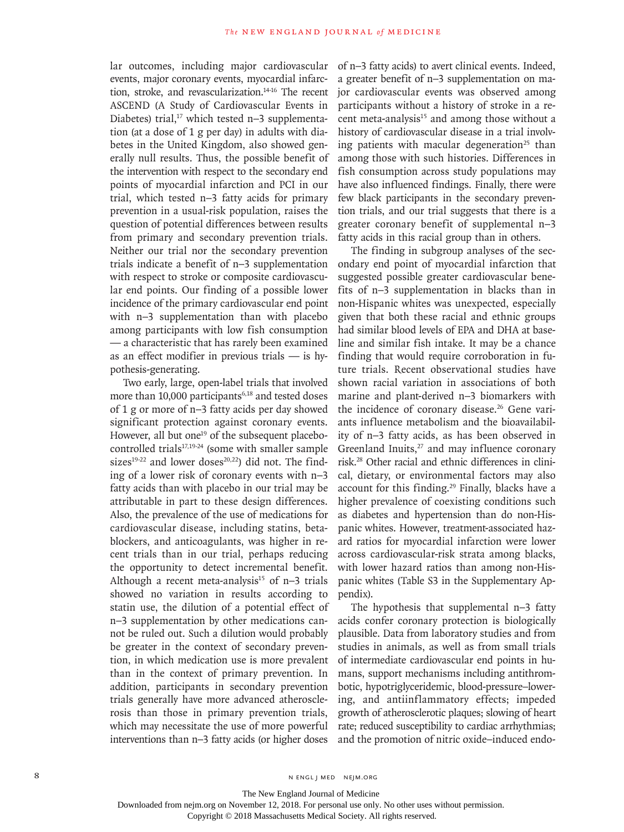lar outcomes, including major cardiovascular events, major coronary events, myocardial infarction, stroke, and revascularization.14-16 The recent ASCEND (A Study of Cardiovascular Events in Diabetes) trial,<sup>17</sup> which tested n–3 supplementation (at a dose of 1 g per day) in adults with diabetes in the United Kingdom, also showed generally null results. Thus, the possible benefit of the intervention with respect to the secondary end points of myocardial infarction and PCI in our trial, which tested n−3 fatty acids for primary prevention in a usual-risk population, raises the question of potential differences between results from primary and secondary prevention trials. Neither our trial nor the secondary prevention trials indicate a benefit of n−3 supplementation with respect to stroke or composite cardiovascular end points. Our finding of a possible lower incidence of the primary cardiovascular end point with n−3 supplementation than with placebo among participants with low fish consumption — a characteristic that has rarely been examined as an effect modifier in previous trials — is hypothesis-generating.

Two early, large, open-label trials that involved more than  $10,000$  participants<sup>6,18</sup> and tested doses of 1 g or more of n−3 fatty acids per day showed significant protection against coronary events. However, all but one<sup>19</sup> of the subsequent placebocontrolled trials<sup>17,19-24</sup> (some with smaller sample sizes $19-22$  and lower doses $20,22$ ) did not. The finding of a lower risk of coronary events with n−3 fatty acids than with placebo in our trial may be attributable in part to these design differences. Also, the prevalence of the use of medications for cardiovascular disease, including statins, betablockers, and anticoagulants, was higher in recent trials than in our trial, perhaps reducing the opportunity to detect incremental benefit. Although a recent meta-analysis<sup>15</sup> of n–3 trials showed no variation in results according to statin use, the dilution of a potential effect of n−3 supplementation by other medications cannot be ruled out. Such a dilution would probably be greater in the context of secondary prevention, in which medication use is more prevalent than in the context of primary prevention. In addition, participants in secondary prevention trials generally have more advanced atherosclerosis than those in primary prevention trials, which may necessitate the use of more powerful interventions than n−3 fatty acids (or higher doses

of n−3 fatty acids) to avert clinical events. Indeed, a greater benefit of n−3 supplementation on major cardiovascular events was observed among participants without a history of stroke in a recent meta-analysis<sup>15</sup> and among those without a history of cardiovascular disease in a trial involving patients with macular degeneration<sup>25</sup> than among those with such histories. Differences in fish consumption across study populations may have also influenced findings. Finally, there were few black participants in the secondary prevention trials, and our trial suggests that there is a greater coronary benefit of supplemental n−3 fatty acids in this racial group than in others.

The finding in subgroup analyses of the secondary end point of myocardial infarction that suggested possible greater cardiovascular benefits of n−3 supplementation in blacks than in non-Hispanic whites was unexpected, especially given that both these racial and ethnic groups had similar blood levels of EPA and DHA at baseline and similar fish intake. It may be a chance finding that would require corroboration in future trials. Recent observational studies have shown racial variation in associations of both marine and plant-derived n−3 biomarkers with the incidence of coronary disease.<sup>26</sup> Gene variants influence metabolism and the bioavailability of n−3 fatty acids, as has been observed in Greenland Inuits,<sup>27</sup> and may influence coronary risk.28 Other racial and ethnic differences in clinical, dietary, or environmental factors may also account for this finding.<sup>29</sup> Finally, blacks have a higher prevalence of coexisting conditions such as diabetes and hypertension than do non-Hispanic whites. However, treatment-associated hazard ratios for myocardial infarction were lower across cardiovascular-risk strata among blacks, with lower hazard ratios than among non-Hispanic whites (Table S3 in the Supplementary Appendix).

The hypothesis that supplemental n−3 fatty acids confer coronary protection is biologically plausible. Data from laboratory studies and from studies in animals, as well as from small trials of intermediate cardiovascular end points in humans, support mechanisms including antithrombotic, hypotriglyceridemic, blood-pressure–lowering, and antiinflammatory effects; impeded growth of atherosclerotic plaques; slowing of heart rate; reduced susceptibility to cardiac arrhythmias; and the promotion of nitric oxide–induced endo-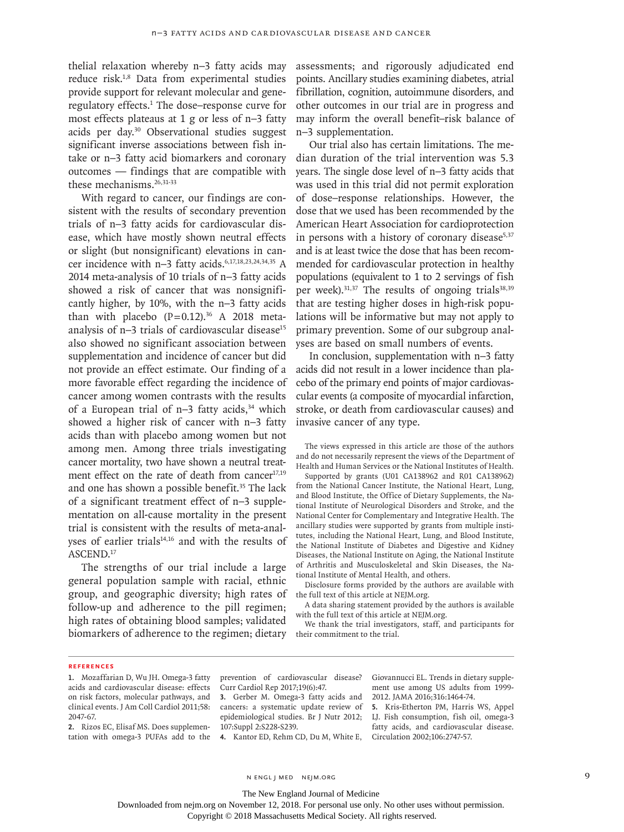thelial relaxation whereby n−3 fatty acids may reduce risk.1,8 Data from experimental studies provide support for relevant molecular and generegulatory effects.<sup>1</sup> The dose–response curve for most effects plateaus at 1 g or less of n−3 fatty acids per day.30 Observational studies suggest significant inverse associations between fish intake or n−3 fatty acid biomarkers and coronary outcomes — findings that are compatible with these mechanisms.<sup>26,31-33</sup>

With regard to cancer, our findings are consistent with the results of secondary prevention trials of n−3 fatty acids for cardiovascular disease, which have mostly shown neutral effects or slight (but nonsignificant) elevations in cancer incidence with n–3 fatty acids.<sup>6,17,18,23,24,34,35</sup> A 2014 meta-analysis of 10 trials of n−3 fatty acids showed a risk of cancer that was nonsignificantly higher, by 10%, with the n−3 fatty acids than with placebo  $(P=0.12).^{36}$  A 2018 metaanalysis of n–3 trials of cardiovascular disease<sup>15</sup> also showed no significant association between supplementation and incidence of cancer but did not provide an effect estimate. Our finding of a more favorable effect regarding the incidence of cancer among women contrasts with the results of a European trial of n–3 fatty acids,<sup>34</sup> which showed a higher risk of cancer with n−3 fatty acids than with placebo among women but not among men. Among three trials investigating cancer mortality, two have shown a neutral treatment effect on the rate of death from cancer<sup>17,19</sup> and one has shown a possible benefit.<sup>35</sup> The lack of a significant treatment effect of n−3 supplementation on all-cause mortality in the present trial is consistent with the results of meta-analyses of earlier trials<sup>14,16</sup> and with the results of ASCEND.17

The strengths of our trial include a large general population sample with racial, ethnic group, and geographic diversity; high rates of follow-up and adherence to the pill regimen; high rates of obtaining blood samples; validated biomarkers of adherence to the regimen; dietary

assessments; and rigorously adjudicated end points. Ancillary studies examining diabetes, atrial fibrillation, cognition, autoimmune disorders, and other outcomes in our trial are in progress and may inform the overall benefit–risk balance of n−3 supplementation.

Our trial also has certain limitations. The median duration of the trial intervention was 5.3 years. The single dose level of n−3 fatty acids that was used in this trial did not permit exploration of dose–response relationships. However, the dose that we used has been recommended by the American Heart Association for cardioprotection in persons with a history of coronary disease $5,37$ and is at least twice the dose that has been recommended for cardiovascular protection in healthy populations (equivalent to 1 to 2 servings of fish per week). $31,37$  The results of ongoing trials $38,39$ that are testing higher doses in high-risk populations will be informative but may not apply to primary prevention. Some of our subgroup analyses are based on small numbers of events.

In conclusion, supplementation with n−3 fatty acids did not result in a lower incidence than placebo of the primary end points of major cardiovascular events (a composite of myocardial infarction, stroke, or death from cardiovascular causes) and invasive cancer of any type.

The views expressed in this article are those of the authors and do not necessarily represent the views of the Department of Health and Human Services or the National Institutes of Health.

Supported by grants (U01 CA138962 and R01 CA138962) from the National Cancer Institute, the National Heart, Lung, and Blood Institute, the Office of Dietary Supplements, the National Institute of Neurological Disorders and Stroke, and the National Center for Complementary and Integrative Health. The ancillary studies were supported by grants from multiple institutes, including the National Heart, Lung, and Blood Institute, the National Institute of Diabetes and Digestive and Kidney Diseases, the National Institute on Aging, the National Institute of Arthritis and Musculoskeletal and Skin Diseases, the National Institute of Mental Health, and others.

Disclosure forms provided by the authors are available with the full text of this article at NEJM.org.

A data sharing statement provided by the authors is available with the full text of this article at NEJM.org.

We thank the trial investigators, staff, and participants for their commitment to the trial.

#### **References**

**1.** Mozaffarian D, Wu JH. Omega-3 fatty acids and cardiovascular disease: effects on risk factors, molecular pathways, and clinical events. J Am Coll Cardiol 2011;58: 2047-67.

**2.** Rizos EC, Elisaf MS. Does supplementation with omega-3 PUFAs add to the prevention of cardiovascular disease? Curr Cardiol Rep 2017;19(6):47.

**3.** Gerber M. Omega-3 fatty acids and cancers: a systematic update review of epidemiological studies. Br J Nutr 2012; 107:Suppl 2:S228-S239. **4.** Kantor ED, Rehm CD, Du M, White E, Giovannucci EL. Trends in dietary supplement use among US adults from 1999- 2012. JAMA 2016;316:1464-74.

**5.** Kris-Etherton PM, Harris WS, Appel LJ. Fish consumption, fish oil, omega-3 fatty acids, and cardiovascular disease. Circulation 2002;106:2747-57.

The New England Journal of Medicine

Downloaded from nejm.org on November 12, 2018. For personal use only. No other uses without permission.